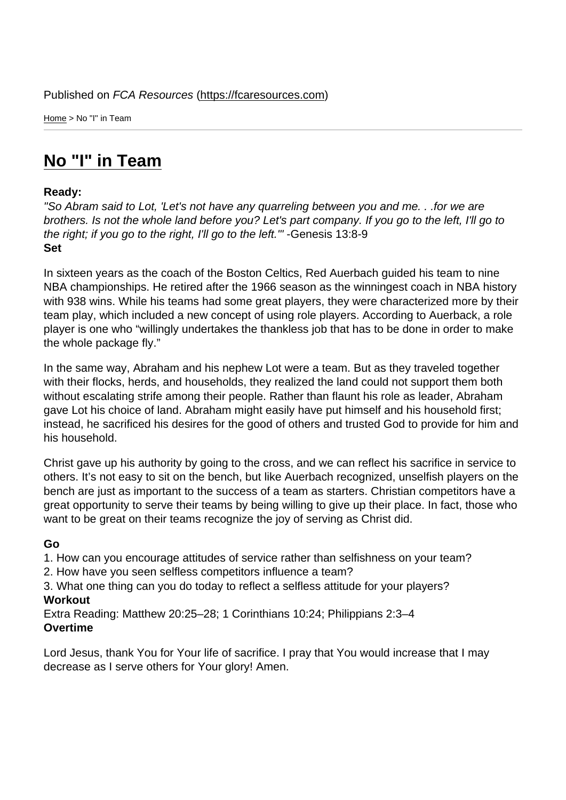Home > No "I" in Team

## [No](https://fcaresources.com/) "I" in Team

## Ready:

["So Abram said to Lot, '](https://fcaresources.com/devotional/no-i-team)Let's not have any quarreling between you and me. . .for we are brothers. Is not the whole land before you? Let's part company. If you go to the left, I'll go to the right; if you go to the right, I'll go to the left.'" -Genesis 13:8-9 Set

In sixteen years as the coach of the Boston Celtics, Red Auerbach guided his team to nine NBA championships. He retired after the 1966 season as the winningest coach in NBA history with 938 wins. While his teams had some great players, they were characterized more by their team play, which included a new concept of using role players. According to Auerback, a role player is one who "willingly undertakes the thankless job that has to be done in order to make the whole package fly."

In the same way, Abraham and his nephew Lot were a team. But as they traveled together with their flocks, herds, and households, they realized the land could not support them both without escalating strife among their people. Rather than flaunt his role as leader, Abraham gave Lot his choice of land. Abraham might easily have put himself and his household first; instead, he sacrificed his desires for the good of others and trusted God to provide for him and his household.

Christ gave up his authority by going to the cross, and we can reflect his sacrifice in service to others. It's not easy to sit on the bench, but like Auerbach recognized, unselfish players on the bench are just as important to the success of a team as starters. Christian competitors have a great opportunity to serve their teams by being willing to give up their place. In fact, those who want to be great on their teams recognize the joy of serving as Christ did.

## Go

- 1. How can you encourage attitudes of service rather than selfishness on your team?
- 2. How have you seen selfless competitors influence a team?
- 3. What one thing can you do today to reflect a selfless attitude for your players? Workout

Extra Reading: Matthew 20:25–28; 1 Corinthians 10:24; Philippians 2:3–4 **Overtime** 

Lord Jesus, thank You for Your life of sacrifice. I pray that You would increase that I may decrease as I serve others for Your glory! Amen.